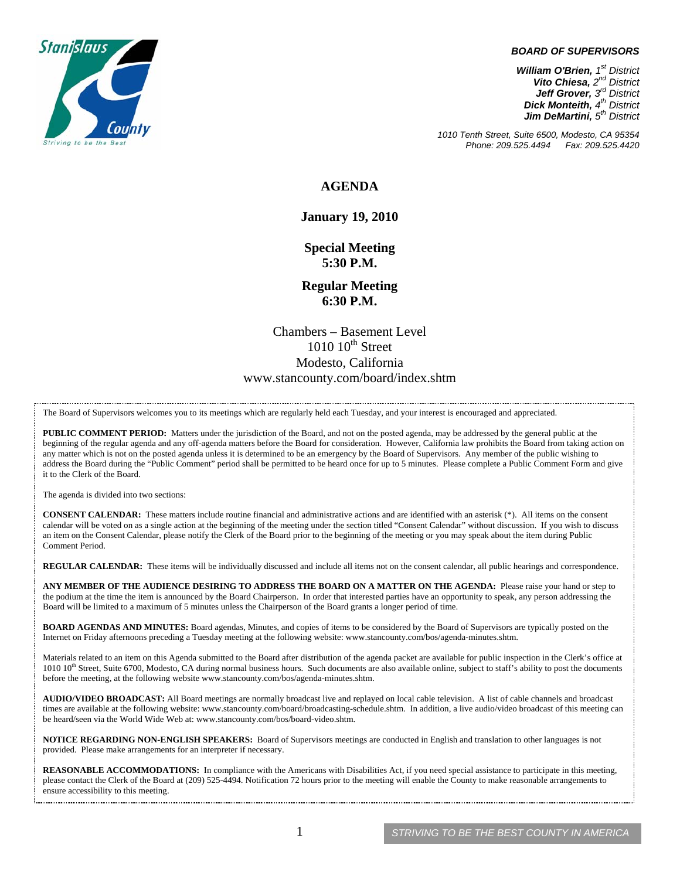

#### *BOARD OF SUPERVISORS*

*William O'Brien, 1st District Vito Chiesa, 2nd District Jeff Grover, 3rd District Dick Monteith, 4th District Jim DeMartini, 5th District*

*1010 Tenth Street, Suite 6500, Modesto, CA 95354 Phone: 209.525.4494* 

#### **AGENDA**

#### **January 19, 2010**

**Special Meeting 5:30 P.M.** 

**Regular Meeting 6:30 P.M.** 

Chambers – Basement Level  $1010 \cdot 10^{th}$  Street Modesto, California www.stancounty.com/board/index.shtm

The Board of Supervisors welcomes you to its meetings which are regularly held each Tuesday, and your interest is encouraged and appreciated.

**PUBLIC COMMENT PERIOD:** Matters under the jurisdiction of the Board, and not on the posted agenda, may be addressed by the general public at the beginning of the regular agenda and any off-agenda matters before the Board for consideration. However, California law prohibits the Board from taking action on any matter which is not on the posted agenda unless it is determined to be an emergency by the Board of Supervisors. Any member of the public wishing to address the Board during the "Public Comment" period shall be permitted to be heard once for up to 5 minutes. Please complete a Public Comment Form and give it to the Clerk of the Board.

The agenda is divided into two sections:

**CONSENT CALENDAR:** These matters include routine financial and administrative actions and are identified with an asterisk (\*). All items on the consent calendar will be voted on as a single action at the beginning of the meeting under the section titled "Consent Calendar" without discussion. If you wish to discuss an item on the Consent Calendar, please notify the Clerk of the Board prior to the beginning of the meeting or you may speak about the item during Public Comment Period.

**REGULAR CALENDAR:** These items will be individually discussed and include all items not on the consent calendar, all public hearings and correspondence.

**ANY MEMBER OF THE AUDIENCE DESIRING TO ADDRESS THE BOARD ON A MATTER ON THE AGENDA:** Please raise your hand or step to the podium at the time the item is announced by the Board Chairperson. In order that interested parties have an opportunity to speak, any person addressing the Board will be limited to a maximum of 5 minutes unless the Chairperson of the Board grants a longer period of time.

**BOARD AGENDAS AND MINUTES:** Board agendas, Minutes, and copies of items to be considered by the Board of Supervisors are typically posted on the Internet on Friday afternoons preceding a Tuesday meeting at the following website: www.stancounty.com/bos/agenda-minutes.shtm.

Materials related to an item on this Agenda submitted to the Board after distribution of the agenda packet are available for public inspection in the Clerk's office at  $1010$   $10$ <sup>th</sup> Street, Suite 6700, Modesto, CA during normal business hours. Such documents are also available online, subject to staff's ability to post the documents before the meeting, at the following website www.stancounty.com/bos/agenda-minutes.shtm.

**AUDIO/VIDEO BROADCAST:** All Board meetings are normally broadcast live and replayed on local cable television. A list of cable channels and broadcast times are available at the following website: www.stancounty.com/board/broadcasting-schedule.shtm. In addition, a live audio/video broadcast of this meeting can be heard/seen via the World Wide Web at: www.stancounty.com/bos/board-video.shtm.

**NOTICE REGARDING NON-ENGLISH SPEAKERS:** Board of Supervisors meetings are conducted in English and translation to other languages is not provided. Please make arrangements for an interpreter if necessary.

REASONABLE ACCOMMODATIONS: In compliance with the Americans with Disabilities Act, if you need special assistance to participate in this meeting, please contact the Clerk of the Board at (209) 525-4494. Notification 72 hours prior to the meeting will enable the County to make reasonable arrangements to ensure accessibility to this meeting.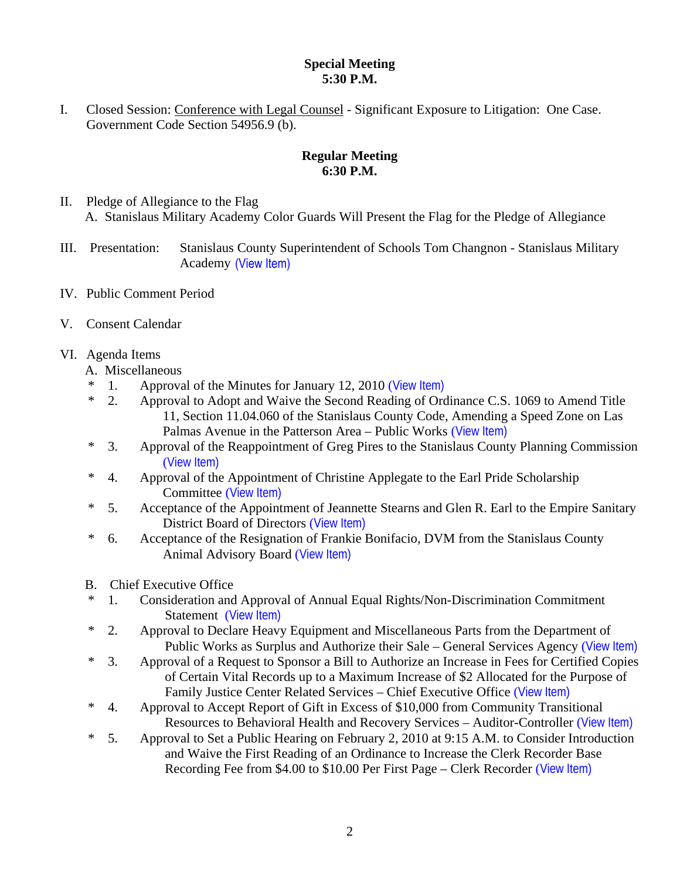### **Special Meeting 5:30 P.M.**

I. Closed Session: Conference with Legal Counsel - Significant Exposure to Litigation: One Case. Government Code Section 54956.9 (b).

# **Regular Meeting 6:30 P.M.**

- II. Pledge of Allegiance to the Flag A. Stanislaus Military Academy Color Guards Will Present the Flag for the Pledge of Allegiance
- III. Presentation: Stanislaus County Superintendent of Schools Tom Changnon Stanislaus Military Academy (View Item)
- IV. Public Comment Period
- V. Consent Calendar
- VI. Agenda Items
	- A. Miscellaneous
	- \* 1. Approval of the Minutes for January 12, 2010 ([View Item\)](http://www.stancounty.com/bos/minutes/2010/min01-12-10.pdf)
	- \* 2. Approval to Adopt and Waive the Second Reading of Ordinance C.S. 1069 to Amend Title 11, Section 11.04.060 of the Stanislaus County Code, Amending a Speed Zone on Las Palmas Avenue in the Patterson Area – Public Works ([View Item\)](http://www.stancounty.com/bos/agenda/2010/20100119/A02.pdf)
	- \* 3. Approval of the Reappointment of Greg Pires to the Stanislaus County Planning Commission ([View Item\)](http://www.stancounty.com/bos/agenda/2010/20100119/A03.pdf)
	- \* 4. Approval of the Appointment of Christine Applegate to the Earl Pride Scholarship Committee ([View Item\)](http://www.stancounty.com/bos/agenda/2010/20100119/A04.pdf)
	- \* 5. Acceptance of the Appointment of Jeannette Stearns and Glen R. Earl to the Empire Sanitary District Board of Directors ([View Item\)](http://www.stancounty.com/bos/agenda/2010/20100119/A05.pdf)
	- \* 6. Acceptance of the Resignation of Frankie Bonifacio, DVM from the Stanislaus County Animal Advisory Board ([View Item\)](http://www.stancounty.com/bos/agenda/2010/20100119/A06.pdf)
	- B. Chief Executive Office
	- \* 1. Consideration and Approval of Annual Equal Rights/Non-Discrimination Commitment Statement ([View Item\)](http://www.stancounty.com/bos/agenda/2010/20100119/B01.pdf)
	- \* 2. Approval to Declare Heavy Equipment and Miscellaneous Parts from the Department of Public Works as Surplus and Authorize their Sale – General Services Agency ([View Item\)](http://www.stancounty.com/bos/agenda/2010/20100119/B02.pdf)
	- \* 3. Approval of a Request to Sponsor a Bill to Authorize an Increase in Fees for Certified Copies of Certain Vital Records up to a Maximum Increase of \$2 Allocated for the Purpose of Family Justice Center Related Services – Chief Executive Office ([View Item\)](http://www.stancounty.com/bos/agenda/2010/20100119/B03.pdf)
	- \* 4. Approval to Accept Report of Gift in Excess of \$10,000 from Community Transitional Resources to Behavioral Health and Recovery Services – Auditor-Controller ([View Item\)](http://www.stancounty.com/bos/agenda/2010/20100119/B04.pdf)
	- \* 5. Approval to Set a Public Hearing on February 2, 2010 at 9:15 A.M. to Consider Introduction and Waive the First Reading of an Ordinance to Increase the Clerk Recorder Base Recording Fee from \$4.00 to \$10.00 Per First Page – Clerk Recorder ([View Item\)](http://www.stancounty.com/bos/agenda/2010/20100119/B05.pdf)